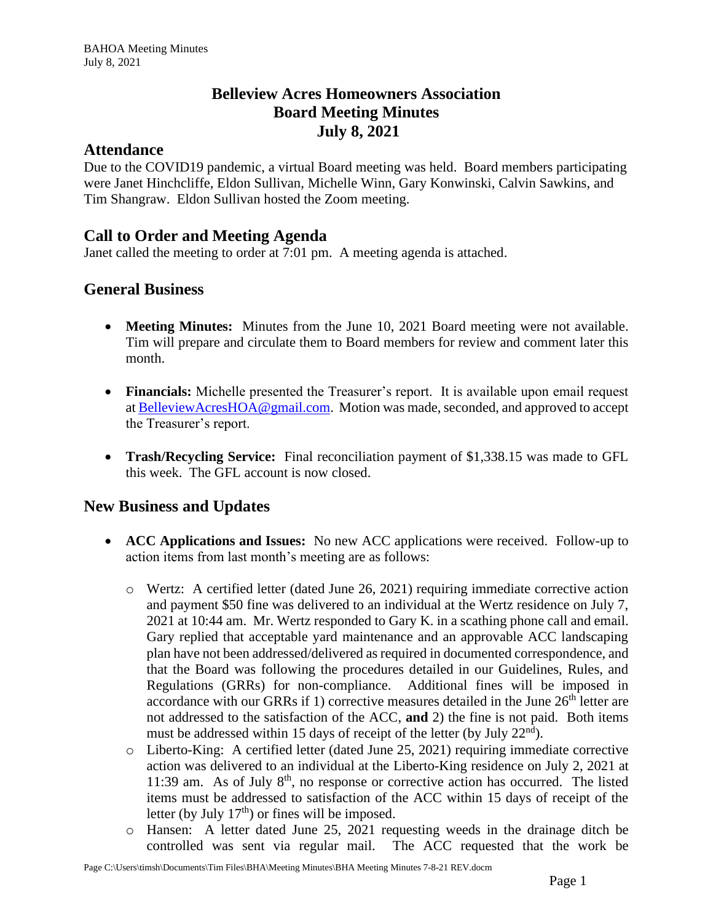## **Belleview Acres Homeowners Association Board Meeting Minutes July 8, 2021**

#### **Attendance**

Due to the COVID19 pandemic, a virtual Board meeting was held. Board members participating were Janet Hinchcliffe, Eldon Sullivan, Michelle Winn, Gary Konwinski, Calvin Sawkins, and Tim Shangraw. Eldon Sullivan hosted the Zoom meeting.

## **Call to Order and Meeting Agenda**

Janet called the meeting to order at 7:01 pm. A meeting agenda is attached.

## **General Business**

- **Meeting Minutes:** Minutes from the June 10, 2021 Board meeting were not available. Tim will prepare and circulate them to Board members for review and comment later this month.
- **Financials:** Michelle presented the Treasurer's report. It is available upon email request at [BelleviewAcresHOA@gmail.com.](mailto:BelleviewAcresHOA@gmail.com) Motion was made, seconded, and approved to accept the Treasurer's report.
- **Trash/Recycling Service:** Final reconciliation payment of \$1,338.15 was made to GFL this week. The GFL account is now closed.

#### **New Business and Updates**

- **ACC Applications and Issues:** No new ACC applications were received. Follow-up to action items from last month's meeting are as follows:
	- o Wertz: A certified letter (dated June 26, 2021) requiring immediate corrective action and payment \$50 fine was delivered to an individual at the Wertz residence on July 7, 2021 at 10:44 am. Mr. Wertz responded to Gary K. in a scathing phone call and email. Gary replied that acceptable yard maintenance and an approvable ACC landscaping plan have not been addressed/delivered as required in documented correspondence, and that the Board was following the procedures detailed in our Guidelines, Rules, and Regulations (GRRs) for non-compliance. Additional fines will be imposed in accordance with our GRRs if 1) corrective measures detailed in the June  $26<sup>th</sup>$  letter are not addressed to the satisfaction of the ACC, **and** 2) the fine is not paid. Both items must be addressed within 15 days of receipt of the letter (by July  $22<sup>nd</sup>$ ).
	- o Liberto-King: A certified letter (dated June 25, 2021) requiring immediate corrective action was delivered to an individual at the Liberto-King residence on July 2, 2021 at 11:39 am. As of July  $8<sup>th</sup>$ , no response or corrective action has occurred. The listed items must be addressed to satisfaction of the ACC within 15 days of receipt of the letter (by July  $17<sup>th</sup>$ ) or fines will be imposed.
	- o Hansen: A letter dated June 25, 2021 requesting weeds in the drainage ditch be controlled was sent via regular mail. The ACC requested that the work be